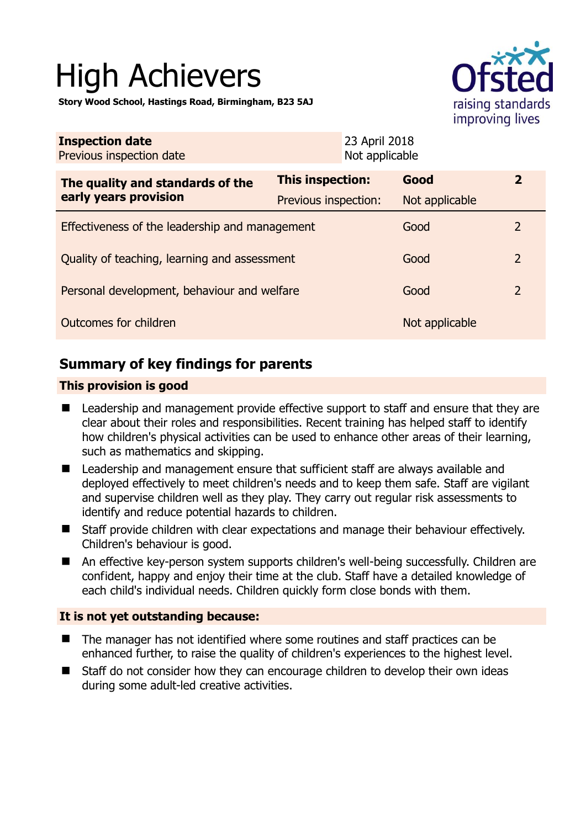# High Achievers

**Story Wood School, Hastings Road, Birmingham, B23 5AJ** 



| <b>Inspection date</b><br>Previous inspection date        | 23 April 2018<br>Not applicable |                |               |
|-----------------------------------------------------------|---------------------------------|----------------|---------------|
| The quality and standards of the<br>early years provision | This inspection:                | Good           | $\mathbf{2}$  |
|                                                           | Previous inspection:            | Not applicable |               |
| Effectiveness of the leadership and management            |                                 | Good           | $\mathcal{L}$ |
| Quality of teaching, learning and assessment              |                                 | Good           | 2             |
| Personal development, behaviour and welfare               |                                 | Good           | 2             |
| Outcomes for children                                     |                                 | Not applicable |               |

## **Summary of key findings for parents**

#### **This provision is good**

- Leadership and management provide effective support to staff and ensure that they are clear about their roles and responsibilities. Recent training has helped staff to identify how children's physical activities can be used to enhance other areas of their learning, such as mathematics and skipping.
- Leadership and management ensure that sufficient staff are always available and deployed effectively to meet children's needs and to keep them safe. Staff are vigilant and supervise children well as they play. They carry out regular risk assessments to identify and reduce potential hazards to children.
- Staff provide children with clear expectations and manage their behaviour effectively. Children's behaviour is good.
- An effective key-person system supports children's well-being successfully. Children are confident, happy and enjoy their time at the club. Staff have a detailed knowledge of each child's individual needs. Children quickly form close bonds with them.

#### **It is not yet outstanding because:**

- The manager has not identified where some routines and staff practices can be enhanced further, to raise the quality of children's experiences to the highest level.
- Staff do not consider how they can encourage children to develop their own ideas during some adult-led creative activities.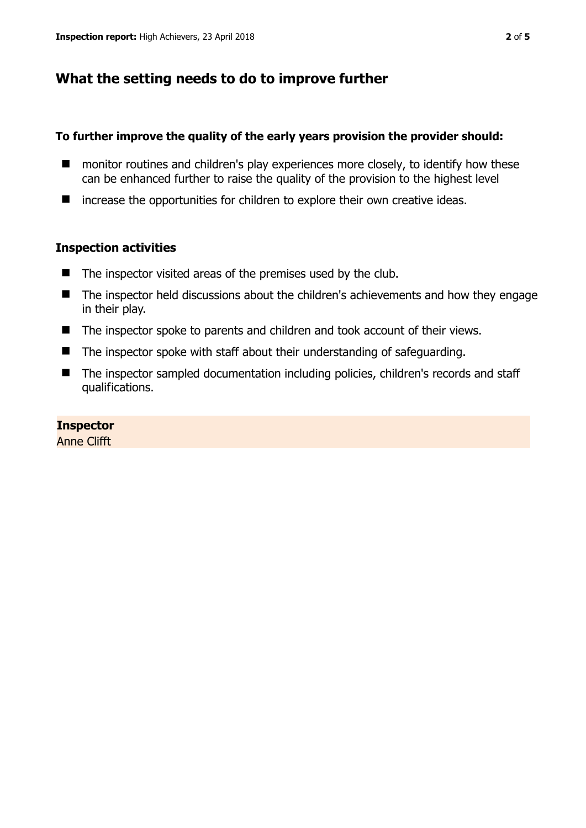## **What the setting needs to do to improve further**

#### **To further improve the quality of the early years provision the provider should:**

- monitor routines and children's play experiences more closely, to identify how these can be enhanced further to raise the quality of the provision to the highest level
- increase the opportunities for children to explore their own creative ideas.

#### **Inspection activities**

- $\blacksquare$  The inspector visited areas of the premises used by the club.
- The inspector held discussions about the children's achievements and how they engage in their play.
- The inspector spoke to parents and children and took account of their views.
- The inspector spoke with staff about their understanding of safeguarding.
- The inspector sampled documentation including policies, children's records and staff qualifications.

#### **Inspector**

Anne Clifft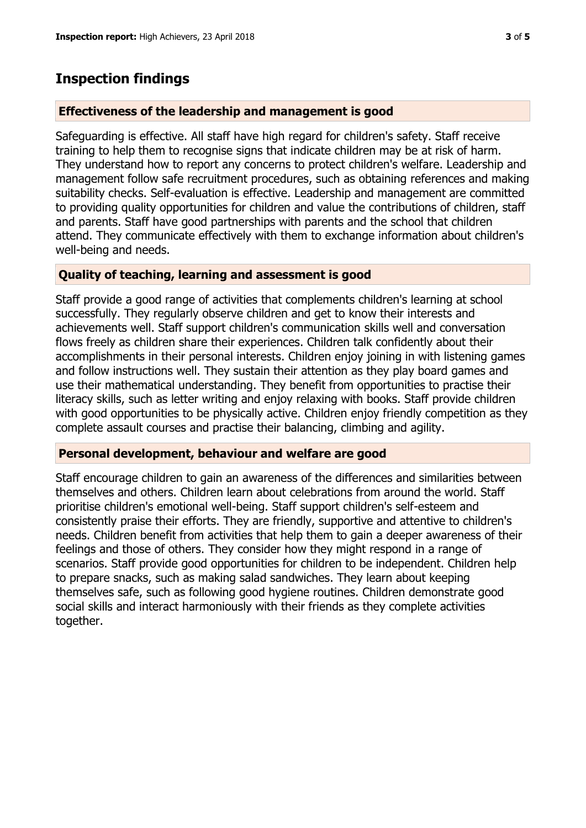## **Inspection findings**

#### **Effectiveness of the leadership and management is good**

Safeguarding is effective. All staff have high regard for children's safety. Staff receive training to help them to recognise signs that indicate children may be at risk of harm. They understand how to report any concerns to protect children's welfare. Leadership and management follow safe recruitment procedures, such as obtaining references and making suitability checks. Self-evaluation is effective. Leadership and management are committed to providing quality opportunities for children and value the contributions of children, staff and parents. Staff have good partnerships with parents and the school that children attend. They communicate effectively with them to exchange information about children's well-being and needs.

#### **Quality of teaching, learning and assessment is good**

Staff provide a good range of activities that complements children's learning at school successfully. They regularly observe children and get to know their interests and achievements well. Staff support children's communication skills well and conversation flows freely as children share their experiences. Children talk confidently about their accomplishments in their personal interests. Children enjoy joining in with listening games and follow instructions well. They sustain their attention as they play board games and use their mathematical understanding. They benefit from opportunities to practise their literacy skills, such as letter writing and enjoy relaxing with books. Staff provide children with good opportunities to be physically active. Children enjoy friendly competition as they complete assault courses and practise their balancing, climbing and agility.

#### **Personal development, behaviour and welfare are good**

Staff encourage children to gain an awareness of the differences and similarities between themselves and others. Children learn about celebrations from around the world. Staff prioritise children's emotional well-being. Staff support children's self-esteem and consistently praise their efforts. They are friendly, supportive and attentive to children's needs. Children benefit from activities that help them to gain a deeper awareness of their feelings and those of others. They consider how they might respond in a range of scenarios. Staff provide good opportunities for children to be independent. Children help to prepare snacks, such as making salad sandwiches. They learn about keeping themselves safe, such as following good hygiene routines. Children demonstrate good social skills and interact harmoniously with their friends as they complete activities together.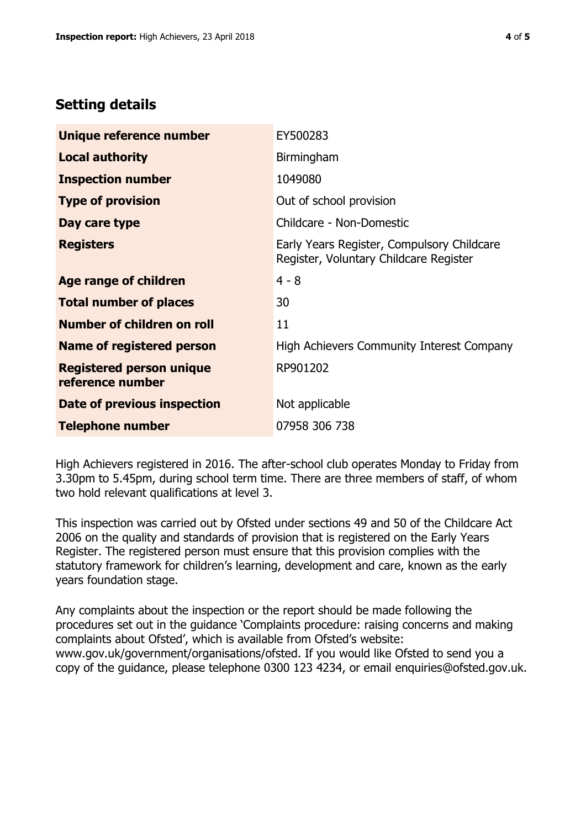## **Setting details**

| Unique reference number                             | EY500283                                                                             |  |
|-----------------------------------------------------|--------------------------------------------------------------------------------------|--|
| <b>Local authority</b>                              | Birmingham                                                                           |  |
| <b>Inspection number</b>                            | 1049080                                                                              |  |
| <b>Type of provision</b>                            | Out of school provision                                                              |  |
| Day care type                                       | Childcare - Non-Domestic                                                             |  |
| <b>Registers</b>                                    | Early Years Register, Compulsory Childcare<br>Register, Voluntary Childcare Register |  |
| Age range of children                               | $4 - 8$                                                                              |  |
| <b>Total number of places</b>                       | 30                                                                                   |  |
| <b>Number of children on roll</b>                   | 11                                                                                   |  |
| <b>Name of registered person</b>                    | High Achievers Community Interest Company                                            |  |
| <b>Registered person unique</b><br>reference number | RP901202                                                                             |  |
| Date of previous inspection                         | Not applicable                                                                       |  |
| <b>Telephone number</b>                             | 07958 306 738                                                                        |  |

High Achievers registered in 2016. The after-school club operates Monday to Friday from 3.30pm to 5.45pm, during school term time. There are three members of staff, of whom two hold relevant qualifications at level 3.

This inspection was carried out by Ofsted under sections 49 and 50 of the Childcare Act 2006 on the quality and standards of provision that is registered on the Early Years Register. The registered person must ensure that this provision complies with the statutory framework for children's learning, development and care, known as the early years foundation stage.

Any complaints about the inspection or the report should be made following the procedures set out in the guidance 'Complaints procedure: raising concerns and making complaints about Ofsted', which is available from Ofsted's website: www.gov.uk/government/organisations/ofsted. If you would like Ofsted to send you a copy of the guidance, please telephone 0300 123 4234, or email enquiries@ofsted.gov.uk.